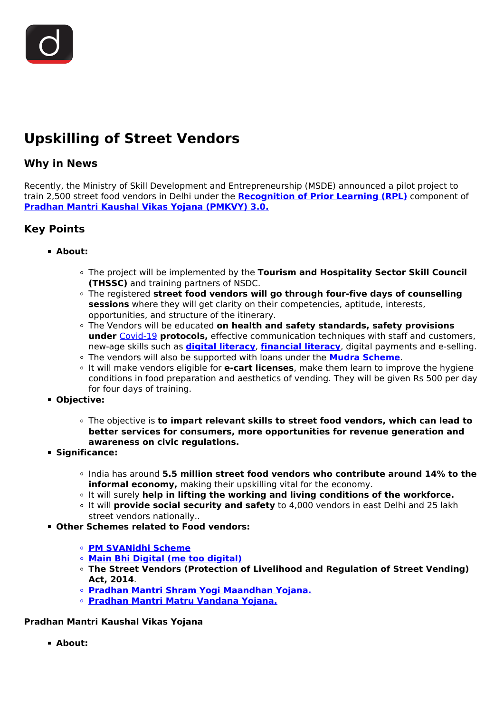# **Upskilling of Street Vendors**

## **Why in News**

Recently, the Ministry of Skill Development and Entrepreneurship (MSDE) announced a pilot project to train 2,500 street food vendors in Delhi under the **[Recognition of Prior Learning \(RPL\)](/daily-updates/daily-news-analysis/recognition-of-prior-learning-programme)** component of **[Pradhan Mantri Kaushal Vikas Yojana \(PMKVY\) 3.0.](/daily-updates/daily-news-analysis/pradhan-mantri-kaushal-vikas-yojana-3-0)**

# **Key Points**

### **About:**

- The project will be implemented by the **Tourism and Hospitality Sector Skill Council (THSSC)** and training partners of NSDC.
- The registered **street food vendors will go through four-five days of counselling sessions** where they will get clarity on their competencies, aptitude, interests, opportunities, and structure of the itinerary.
- The Vendors will be educated **on health and safety standards, safety provisions under** [Covid-19](/loksabha-rajyasabha-discussions/the-big-picture-india-s-covid-pandemic-management) **protocols,** effective communication techniques with staff and customers, new-age skills such as **[digital literacy](/daily-updates/daily-news-editorials/right-to-internet-access-and-digital-literacy)**, **[financial literacy](/daily-updates/daily-news-analysis/national-strategy-for-financial-education)**, digital payments and e-selling.
- The vendors will also be supported with loans under the **[Mudra Scheme](/daily-updates/daily-news-analysis/pradhan-mantri-mudra-yojana)**.
- It will make vendors eligible for **e-cart licenses**, make them learn to improve the hygiene conditions in food preparation and aesthetics of vending. They will be given Rs 500 per day for four days of training.
- **Objective:**
	- The objective is **to impart relevant skills to street food vendors, which can lead to better services for consumers, more opportunities for revenue generation and awareness on civic regulations.**
- **Significance:**
	- India has around **5.5 million street food vendors who contribute around 14% to the informal economy,** making their upskilling vital for the economy.
	- It will surely **help in lifting the working and living conditions of the workforce.**
	- It will **provide social security and safety** to 4,000 vendors in east Delhi and 25 lakh street vendors nationally..
- **Other Schemes related to Food vendors:**
	- **[PM SVANidhi Scheme](/daily-updates/daily-news-analysis/mou-under-pm-svanidhi)**
	- **[Main Bhi Digital \(me too digital\)](/daily-updates/daily-news-analysis/main-bhi-digital-drive-for-street-vendors)**
	- **The Street Vendors (Protection of Livelihood and Regulation of Street Vending) Act, 2014**.
	- **[Pradhan Mantri Shram Yogi Maandhan Yojana.](/daily-updates/daily-news-analysis/pradhan-mantri-shram-yogi-maan-dhan-pm-sym)**
	- **[Pradhan Mantri Matru Vandana Yojana.](/daily-updates/daily-news-analysis/pradhan-mantri-matru-vandana-yojana)**

#### **Pradhan Mantri Kaushal Vikas Yojana**

**About:**